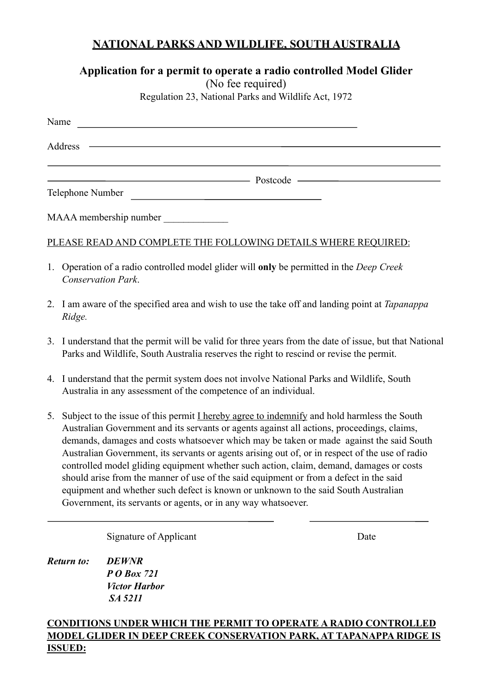## **NATIONAL PARKS AND WILDLIFE, SOUTH AUSTRALIA**

# **Application for a permit to operate a radio controlled Model Glider**

(No fee required)

Regulation 23, National Parks and Wildlife Act, 1972

| Name                   |                                                                                                                                                                                                                                    |  |
|------------------------|------------------------------------------------------------------------------------------------------------------------------------------------------------------------------------------------------------------------------------|--|
|                        |                                                                                                                                                                                                                                    |  |
|                        | <u>Postcode</u> experience and the postcode experience of the set of the set of the set of the set of the set of the set of the set of the set of the set of the set of the set of the set of the set of the set of the set of the |  |
| Telephone Number       |                                                                                                                                                                                                                                    |  |
| MAAA membership number |                                                                                                                                                                                                                                    |  |

### PLEASE READ AND COMPLETE THE FOLLOWING DETAILS WHERE REQUIRED:

- 1. Operation of a radio controlled model glider will **only** be permitted in the *Deep Creek Conservation Park*.
- 2. I am aware of the specified area and wish to use the take off and landing point at *Tapanappa Ridge.*
- 3. I understand that the permit will be valid for three years from the date of issue, but that National Parks and Wildlife, South Australia reserves the right to rescind or revise the permit.
- 4. I understand that the permit system does not involve National Parks and Wildlife, South Australia in any assessment of the competence of an individual.
- 5. Subject to the issue of this permit I hereby agree to indemnify and hold harmless the South Australian Government and its servants or agents against all actions, proceedings, claims, demands, damages and costs whatsoever which may be taken or made against the said South Australian Government, its servants or agents arising out of, or in respect of the use of radio controlled model gliding equipment whether such action, claim, demand, damages or costs should arise from the manner of use of the said equipment or from a defect in the said equipment and whether such defect is known or unknown to the said South Australian Government, its servants or agents, or in any way whatsoever.

Signature of Applicant Date

*Return to: DEWNR P O Box 721 Victor Harbor SA 5211* 

#### **CONDITIONS UNDER WHICH THE PERMIT TO OPERATE A RADIO CONTROLLED MODEL GLIDER IN DEEP CREEK CONSERVATION PARK, AT TAPANAPPA RIDGE IS ISSUED:**